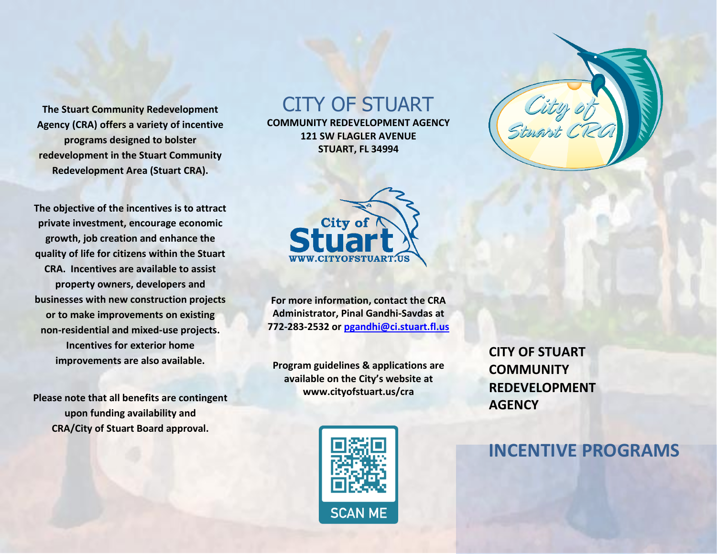**Agency (CRA) offers a variety of incentive programs designed to bolster redevelopment in the Stuart Community Redevelopment Area (Stuart CRA). The Stuart Community Redevelopment** 

**Redevelopment Area (Stuart CRA).**<br> **The objective of the incentives is to attract growth, job creation and enhance the quality of life for citizens within the Stuart CRA. Incentives are available to assist businesses with new construction projects or to make improvements on existing non-residential and mixed-use projects. improvements are also available. private investment, encourage economic property owners, developers and Incentives for exterior home** 

 **Please note that all benefits are contingent upon funding availability and CRA/City of Stuart Board approval.** 

# CITY OF STUART

**COMMUNITY REDEVELOPMENT AGENCY 121 SW FLAGLER AVENUE STUART, FL 34994** 



 **For more information, contact the CRA Administrator, Pinal Gandhi-Savdas at 772-283-2532 or [pgandhi@ci.stuart.fl.us](mailto:pgandhi@ci.stuart.fl.us)** 

 **available on the City's website at Program guidelines & applications are <www.cityofstuart.us/cra>** 



**CITY OF STUART COMMUNITY REDEVELOPMENT AGENCY** 

## **INCENTIVE PROGRAMS**